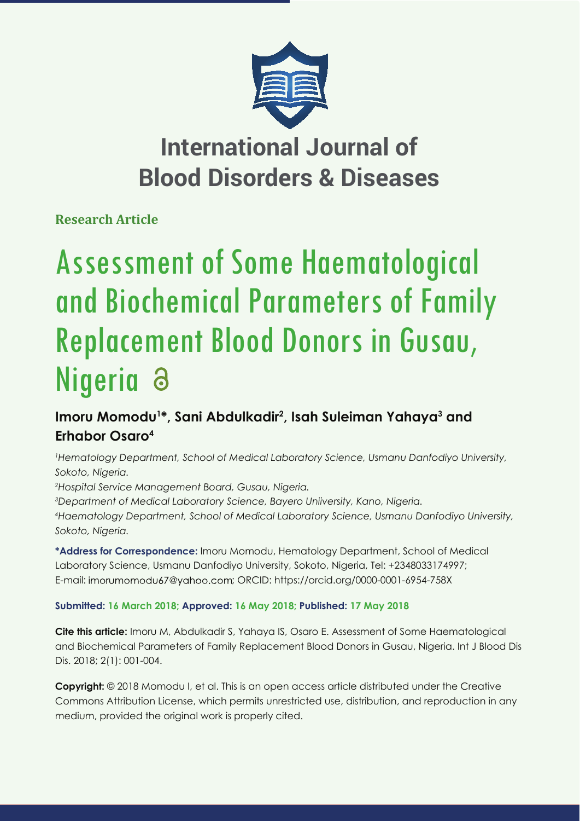

## **International Journal of Blood Disorders & Diseases**

**Research Article**

# Assessment of Some Haematological and Biochemical Parameters of Family Replacement Blood Donors in Gusau, Nigeria

### Imoru Momodu<sup>1\*</sup>, Sani Abdulkadir<sup>2</sup>, Isah Suleiman Yahaya<sup>3</sup> and **Erhabor Osaro4**

*1 Hematology Department, School of Medical Laboratory Science, Usmanu Danfodiyo University, Sokoto, Nigeria.*

*2 Hospital Service Management Board, Gusau, Nigeria.*

*3 Department of Medical Laboratory Science, Bayero Uniiversity, Kano, Nigeria. 4 Haematology Department, School of Medical Laboratory Science, Usmanu Danfodiyo University, Sokoto, Nigeria.*

**\*Address for Correspondence:** Imoru Momodu, Hematology Department, School of Medical Laboratory Science, Usmanu Danfodiyo University, Sokoto, Nigeria, Tel: +2348033174997; E-mail: imorumomodu67@yahoo.com; ORCID: https://orcid.org/0000-0001-6954-758X

#### **Submitted: 16 March 2018; Approved: 16 May 2018; Published: 17 May 2018**

**Cite this article:** Imoru M, Abdulkadir S, Yahaya IS, Osaro E. Assessment of Some Haematological and Biochemical Parameters of Family Replacement Blood Donors in Gusau, Nigeria. Int J Blood Dis Dis. 2018; 2(1): 001-004.

**Copyright:** © 2018 Momodu I, et al. This is an open access article distributed under the Creative Commons Attribution License, which permits unrestricted use, distribution, and reproduction in any medium, provided the original work is properly cited.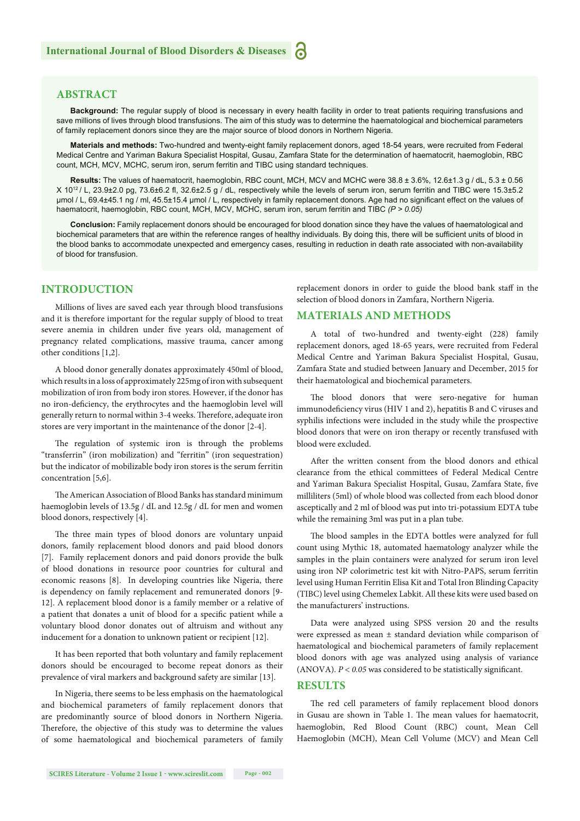#### **ABSTRACT**

**Background:** The regular supply of blood is necessary in every health facility in order to treat patients requiring transfusions and save millions of lives through blood transfusions. The aim of this study was to determine the haematological and biochemical parameters of family replacement donors since they are the major source of blood donors in Northern Nigeria.

**Materials and methods:** Two-hundred and twenty-eight family replacement donors, aged 18-54 years, were recruited from Federal Medical Centre and Yariman Bakura Specialist Hospital, Gusau, Zamfara State for the determination of haematocrit, haemoglobin, RBC count, MCH, MCV, MCHC, serum iron, serum ferritin and TIBC using standard techniques.

**Results:** The values of haematocrit, haemoglobin, RBC count, MCH, MCV and MCHC were 38.8 ± 3.6%, 12.6±1.3 g / dL, 5.3 ± 0.56 X 1012 / L, 23.9±2.0 pg, 73.6±6.2 fl , 32.6±2.5 g / dL, respectively while the levels of serum iron, serum ferritin and TIBC were 15.3±5.2 μmol / L, 69.4±45.1 ng / ml, 45.5±15.4 μmol / L, respectively in family replacement donors. Age had no significant effect on the values of haematocrit, haemoglobin, RBC count, MCH, MCV, MCHC, serum iron, serum ferritin and TIBC *(P ˃ 0.05)*

**Conclusion:** Family replacement donors should be encouraged for blood donation since they have the values of haematological and biochemical parameters that are within the reference ranges of healthy individuals. By doing this, there will be sufficient units of blood in the blood banks to accommodate unexpected and emergency cases, resulting in reduction in death rate associated with non-availability of blood for transfusion.

#### **INTRODUCTION**

Millions of lives are saved each year through blood transfusions and it is therefore important for the regular supply of blood to treat severe anemia in children under five years old, management of pregnancy related complications, massive trauma, cancer among other conditions [1,2].

A blood donor generally donates approximately 450ml of blood, which results in a loss of approximately 225mg of iron with subsequent mobilization of iron from body iron stores. However, if the donor has no iron-deficiency, the erythrocytes and the haemoglobin level will generally return to normal within 3-4 weeks. Therefore, adequate iron stores are very important in the maintenance of the donor [2-4].

The regulation of systemic iron is through the problems "transferrin" (iron mobilization) and "ferritin" (iron sequestration) but the indicator of mobilizable body iron stores is the serum ferritin concentration [5,6].

The American Association of Blood Banks has standard minimum haemoglobin levels of 13.5g / dL and 12.5g / dL for men and women blood donors, respectively [4].

The three main types of blood donors are voluntary unpaid donors, family replacement blood donors and paid blood donors [7]. Family replacement donors and paid donors provide the bulk of blood donations in resource poor countries for cultural and economic reasons [8]. In developing countries like Nigeria, there is dependency on family replacement and remunerated donors [9- 12]. A replacement blood donor is a family member or a relative of a patient that donates a unit of blood for a specific patient while a voluntary blood donor donates out of altruism and without any inducement for a donation to unknown patient or recipient [12].

It has been reported that both voluntary and family replacement donors should be encouraged to become repeat donors as their prevalence of viral markers and background safety are similar [13].

In Nigeria, there seems to be less emphasis on the haematological and biochemical parameters of family replacement donors that are predominantly source of blood donors in Northern Nigeria. Therefore, the objective of this study was to determine the values of some haematological and biochemical parameters of family replacement donors in order to guide the blood bank staff in the selection of blood donors in Zamfara, Northern Nigeria.

#### **MATERIALS AND METHODS**

A total of two-hundred and twenty-eight (228) family replacement donors, aged 18-65 years, were recruited from Federal Medical Centre and Yariman Bakura Specialist Hospital, Gusau, Zamfara State and studied between January and December, 2015 for their haematological and biochemical parameters.

The blood donors that were sero-negative for human immunodeficiency virus (HIV 1 and 2), hepatitis B and C viruses and syphilis infections were included in the study while the prospective blood donors that were on iron therapy or recently transfused with blood were excluded.

After the written consent from the blood donors and ethical clearance from the ethical committees of Federal Medical Centre and Yariman Bakura Specialist Hospital, Gusau, Zamfara State, five milliliters (5ml) of whole blood was collected from each blood donor asceptically and 2 ml of blood was put into tri-potassium EDTA tube while the remaining 3ml was put in a plan tube.

The blood samples in the EDTA bottles were analyzed for full count using Mythic 18, automated haematology analyzer while the samples in the plain containers were analyzed for serum iron level using iron NP colorimetric test kit with Nitro-PAPS, serum ferritin level using Human Ferritin Elisa Kit and Total Iron Blinding Capacity (TIBC) level using Chemelex Labkit. All these kits were used based on the manufacturers' instructions.

Data were analyzed using SPSS version 20 and the results were expressed as mean ± standard deviation while comparison of haematological and biochemical parameters of family replacement blood donors with age was analyzed using analysis of variance (ANOVA).  $P < 0.05$  was considered to be statistically significant.

#### **RESULTS**

The red cell parameters of family replacement blood donors in Gusau are shown in Table 1. The mean values for haematocrit, haemoglobin, Red Blood Count (RBC) count, Mean Cell Haemoglobin (MCH), Mean Cell Volume (MCV) and Mean Cell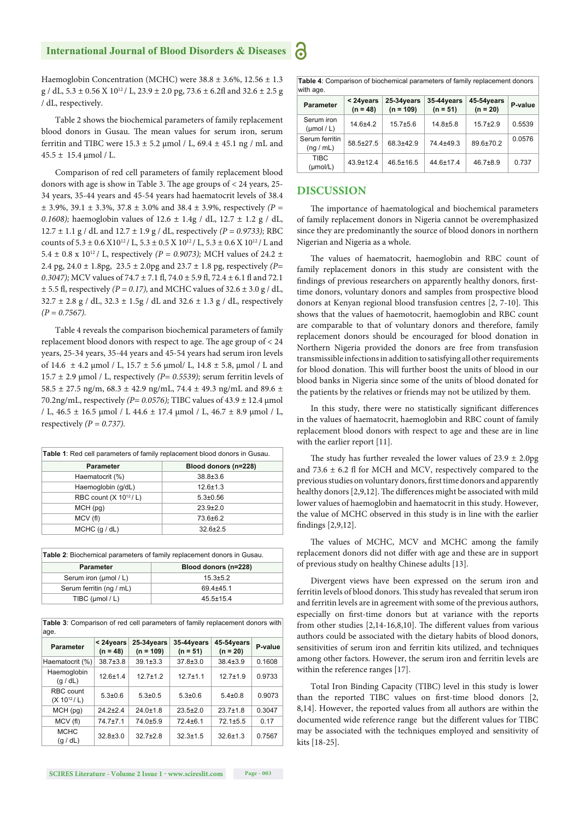Haemoglobin Concentration (MCHC) were 38.8 ± 3.6%, 12.56 ± 1.3  $g$  / dL, 5.3  $\pm$  0.56 X 10<sup>12</sup> / L, 23.9  $\pm$  2.0 pg, 73.6  $\pm$  6.2fl and 32.6  $\pm$  2.5 g / dL, respectively.

Table 2 shows the biochemical parameters of family replacement blood donors in Gusau. The mean values for serum iron, serum ferritin and TIBC were  $15.3 \pm 5.2$  µmol / L,  $69.4 \pm 45.1$  ng / mL and  $45.5 \pm 15.4 \,\mathrm{\mu mol}/\,\mathrm{L}$ .

Comparison of red cell parameters of family replacement blood donors with age is show in Table 3. The age groups of  $<$  24 years, 25-34 years, 35-44 years and 45-54 years had haematocrit levels of 38.4 ± 3.9%, 39.1 ± 3.3%, 37.8 ± 3.0% and 38.4 ± 3.9%, respectively *(P = 0.1608);* haemoglobin values of 12.6 ± 1.4g / dL, 12.7 ± 1.2 g / dL, 12.7 ± 1.1 g / dL and 12.7 ± 1.9 g / dL, respectively *(P = 0.9733);* RBC counts of  $5.3 \pm 0.6$  X10<sup>12</sup>/ L,  $5.3 \pm 0.5$  X 10<sup>12</sup>/ L,  $5.3 \pm 0.6$  X 10<sup>12</sup>/ L and 5.4  $\pm$  0.8 x 10<sup>12</sup> / L, respectively (*P = 0.9073*); MCH values of 24.2  $\pm$ 2.4 pg, 24.0 ± 1.8pg, 23.5 ± 2.0pg and 23.7 ± 1.8 pg, respectively *(P= 0.3047);* MCV values of 74.7 ± 7.1 fl, 74.0 ± 5.9 fl, 72.4 ± 6.1 fl and 72.1  $\pm$  5.5 fl, respectively *(P = 0.17)*, and MCHC values of 32.6  $\pm$  3.0 g / dL,  $32.7 \pm 2.8$  g / dL,  $32.3 \pm 1.5$ g / dL and  $32.6 \pm 1.3$  g / dL, respectively *(P = 0.7567).*

Table 4 reveals the comparison biochemical parameters of family replacement blood donors with respect to age. The age group of  $< 24$ years, 25-34 years, 35-44 years and 45-54 years had serum iron levels of 14.6 ± 4.2 μmol / L, 15.7 ± 5.6 μmol/ L, 14.8 ± 5.8, μmol / L and 15.7 ± 2.9 μmol / L, respectively *(P= 0.5539);* serum ferritin levels of 58.5  $\pm$  27.5 ng/m, 68.3  $\pm$  42.9 ng/mL, 74.4  $\pm$  49.3 ng/mL and 89.6  $\pm$ 70.2ng/mL, respectively *(P= 0.0576);* TIBC values of 43.9 ± 12.4 μmol / L, 46.5 ± 16.5 μmol / L 44.6 ± 17.4 μmol / L, 46.7 ± 8.9 μmol / L, respectively  $(P = 0.737)$ .

| <b>Table 1:</b> Red cell parameters of family replacement blood donors in Gusau. |                      |  |  |  |
|----------------------------------------------------------------------------------|----------------------|--|--|--|
| <b>Parameter</b>                                                                 | Blood donors (n=228) |  |  |  |
| Haematocrit (%)                                                                  | 38.8±3.6             |  |  |  |
| Haemoglobin (g/dL)                                                               | $12.6 \pm 1.3$       |  |  |  |
| RBC count $(X 1012/ L)$                                                          | $5.3 \pm 0.56$       |  |  |  |
| MCH (pq)                                                                         | $23.9 + 2.0$         |  |  |  |
| MCV (fl)                                                                         | $73.6 + 6.2$         |  |  |  |
| $MCHC$ (q / dL)                                                                  | $32.6 + 2.5$         |  |  |  |

| <b>Table 2:</b> Biochemical parameters of family replacement donors in Gusau. |                      |  |  |  |
|-------------------------------------------------------------------------------|----------------------|--|--|--|
| <b>Parameter</b>                                                              | Blood donors (n=228) |  |  |  |
| Serum iron (umol / L)                                                         | $15.3 + 5.2$         |  |  |  |
| Serum ferritin (ng / mL)                                                      | 69 4 + 45 1          |  |  |  |
| TIBC ( $\mu$ mol / L)                                                         | $45.5 + 15.4$        |  |  |  |

| age.                         |                         |                              |                          |                          |         |  |
|------------------------------|-------------------------|------------------------------|--------------------------|--------------------------|---------|--|
| <b>Parameter</b>             | < 24years<br>$(n = 48)$ | $25-34$ years<br>$(n = 109)$ | 35-44years<br>$(n = 51)$ | 45-54years<br>$(n = 20)$ | P-value |  |
| Haematocrit (%)              | $38.7 \pm 3.8$          | $39.1 \pm 3.3$               | $37.8 \pm 3.0$           | $38.4 \pm 3.9$           | 0.1608  |  |
| Haemoglobin<br>(g / dL)      | $12.6 \pm 1.4$          | $12.7 + 1.2$                 | $12.7 + 1.1$             | $12.7 + 1.9$             | 0.9733  |  |
| RBC count<br>$(X 10^{12}/L)$ | $5.3 \pm 0.6$           | $5.3 \pm 0.5$                | $5.3 + 0.6$              | $5.4 \pm 0.8$            | 0.9073  |  |
| MCH(pq)                      | $24.2 + 2.4$            | $24.0 \pm 1.8$               | $23.5 \pm 2.0$           | $23.7 \pm 1.8$           | 0.3047  |  |
| MCV(f)                       | 74.7±7.1                | 74.0±5.9                     | $72.4 + 6.1$             | $72.1 + 5.5$             | 0.17    |  |
| <b>MCHC</b><br>(q/dL)        | $32.8 \pm 3.0$          | $32.7 + 2.8$                 | $32.3 \pm 1.5$           | $32.6 \pm 1.3$           | 0.7567  |  |

**Table 3**: Comparison of red cell parameters of family replacement donors with age.

**Table 4**: Comparison of biochemical parameters of family replacement donors with age

| <b>Parameter</b>                    | < 24years<br>$(n = 48)$ | 25-34years<br>$(n = 109)$ | 35-44years<br>$(n = 51)$ | 45-54years<br>$(n = 20)$ | P-value |
|-------------------------------------|-------------------------|---------------------------|--------------------------|--------------------------|---------|
| Serum iron<br>$(\mu \text{mol}/L)$  | $14.6 + 4.2$            | $15.7 + 5.6$              | $14.8 + 5.8$             | $15.7 + 2.9$             | 0.5539  |
| Serum ferritin<br>(nq/mL)           | $58.5 \pm 27.5$         | 68.3±42.9                 | 74.4±49.3                | 89.6±70.2                | 0.0576  |
| <b>TIBC</b><br>$(\mu \text{mol/L})$ | $43.9 \pm 12.4$         | $46.5 \pm 16.5$           | $44.6 \pm 17.4$          | $46.7 + 8.9$             | 0.737   |

#### **DISCUSSION**

്

The importance of haematological and biochemical parameters of family replacement donors in Nigeria cannot be overemphasized since they are predominantly the source of blood donors in northern Nigerian and Nigeria as a whole.

The values of haematocrit, haemoglobin and RBC count of family replacement donors in this study are consistent with the findings of previous researchers on apparently healthy donors, firsttime donors, voluntary donors and samples from prospective blood donors at Kenyan regional blood transfusion centres [2, 7-10]. This shows that the values of haemotocrit, haemoglobin and RBC count are comparable to that of voluntary donors and therefore, family replacement donors should be encouraged for blood donation in Northern Nigeria provided the donors are free from transfusion transmissible infections in addition to satisfying all other requirements for blood donation. This will further boost the units of blood in our blood banks in Nigeria since some of the units of blood donated for the patients by the relatives or friends may not be utilized by them.

In this study, there were no statistically significant differences in the values of haematocrit, haemoglobin and RBC count of family replacement blood donors with respect to age and these are in line with the earlier report [11].

The study has further revealed the lower values of  $23.9 \pm 2.0$ pg and  $73.6 \pm 6.2$  fl for MCH and MCV, respectively compared to the previous studies on voluntary donors, first time donors and apparently healthy donors [2,9,12]. The differences might be associated with mild lower values of haemoglobin and haematocrit in this study. However, the value of MCHC observed in this study is in line with the earlier findings  $[2,9,12]$ .

The values of MCHC, MCV and MCHC among the family replacement donors did not differ with age and these are in support of previous study on healthy Chinese adults [13].

Divergent views have been expressed on the serum iron and ferritin levels of blood donors. This study has revealed that serum iron and ferritin levels are in agreement with some of the previous authors, especially on first-time donors but at variance with the reports from other studies  $[2,14-16,8,10]$ . The different values from various authors could be associated with the dietary habits of blood donors, sensitivities of serum iron and ferritin kits utilized, and techniques among other factors. However, the serum iron and ferritin levels are within the reference ranges [17].

Total Iron Binding Capacity (TIBC) level in this study is lower than the reported TIBC values on first-time blood donors [2, 8,14]. However, the reported values from all authors are within the documented wide reference range but the different values for TIBC may be associated with the techniques employed and sensitivity of kits [18-25].